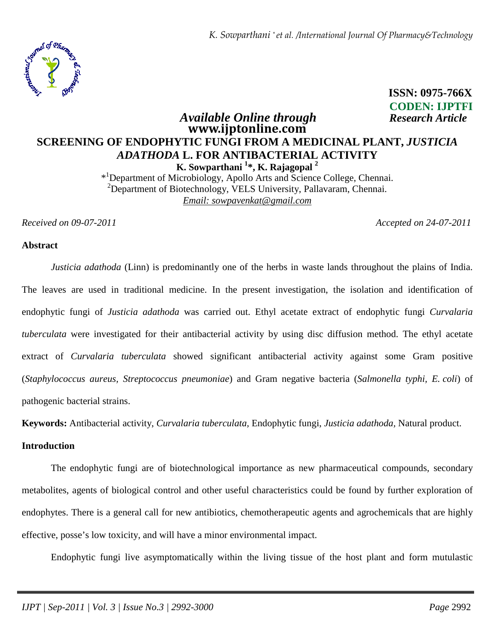*K. Sowparthani \* et al. /International Journal Of Pharmacy&Technology*



 **ISSN: 0975-766X CODEN: IJPTFI** *Available Online through Research Article*

# **www.ijptonline.com SCREENING OF ENDOPHYTIC FUNGI FROM A MEDICINAL PLANT,** *JUSTICIA ADATHODA* **L. FOR ANTIBACTERIAL ACTIVITY K. Sowparthani <sup>1</sup> \*, K. Rajagopal <sup>2</sup>**

\* <sup>1</sup>Department of Microbiology, Apollo Arts and Science College, Chennai.  $2$ Department of Biotechnology, VELS University, Pallavaram, Chennai. *Email: sowpavenkat@gmail.com*

*Received on 09-07-2011 Accepted on 24-07-2011*

#### **Abstract**

*Justicia adathoda* (Linn) is predominantly one of the herbs in waste lands throughout the plains of India. The leaves are used in traditional medicine. In the present investigation, the isolation and identification of endophytic fungi of *Justicia adathoda* was carried out. Ethyl acetate extract of endophytic fungi *Curvalaria tuberculata* were investigated for their antibacterial activity by using disc diffusion method. The ethyl acetate extract of *Curvalaria tuberculata* showed significant antibacterial activity against some Gram positive (*Staphylococcus aureus, Streptococcus pneumoniae*) and Gram negative bacteria (*Salmonella typhi, E. coli*) of pathogenic bacterial strains.

**Keywords:** Antibacterial activity, *Curvalaria tuberculata,* Endophytic fungi, *Justicia adathoda,* Natural product.

# **Introduction**

 The endophytic fungi are of biotechnological importance as new pharmaceutical compounds, secondary metabolites, agents of biological control and other useful characteristics could be found by further exploration of endophytes. There is a general call for new antibiotics, chemotherapeutic agents and agrochemicals that are highly effective, posse's low toxicity, and will have a minor environmental impact.

Endophytic fungi live asymptomatically within the living tissue of the host plant and form mutulastic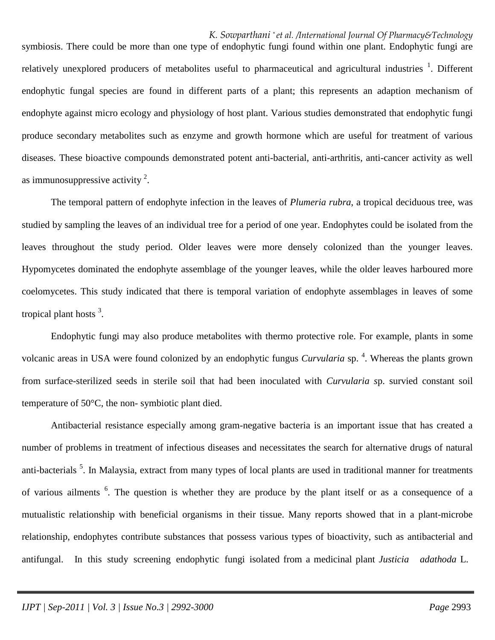*K. Sowparthani \* et al. /International Journal Of Pharmacy&Technology* symbiosis. There could be more than one type of endophytic fungi found within one plant. Endophytic fungi are relatively unexplored producers of metabolites useful to pharmaceutical and agricultural industries <sup>1</sup>. Different endophytic fungal species are found in different parts of a plant; this represents an adaption mechanism of endophyte against micro ecology and physiology of host plant. Various studies demonstrated that endophytic fungi produce secondary metabolites such as enzyme and growth hormone which are useful for treatment of various diseases. These bioactive compounds demonstrated potent anti-bacterial, anti-arthritis, anti-cancer activity as well as immunosuppressive activity  $2$ .

 The temporal pattern of endophyte infection in the leaves of *Plumeria rubra*, a tropical deciduous tree, was studied by sampling the leaves of an individual tree for a period of one year. Endophytes could be isolated from the leaves throughout the study period. Older leaves were more densely colonized than the younger leaves. Hypomycetes dominated the endophyte assemblage of the younger leaves, while the older leaves harboured more coelomycetes. This study indicated that there is temporal variation of endophyte assemblages in leaves of some tropical plant hosts<sup>3</sup>.

 Endophytic fungi may also produce metabolites with thermo protective role. For example, plants in some volcanic areas in USA were found colonized by an endophytic fungus *Curvularia* sp. 4 . Whereas the plants grown from surface-sterilized seeds in sterile soil that had been inoculated with *Curvularia s*p. survied constant soil temperature of 50°C, the non- symbiotic plant died.

 Antibacterial resistance especially among gram-negative bacteria is an important issue that has created a number of problems in treatment of infectious diseases and necessitates the search for alternative drugs of natural anti-bacterials<sup>5</sup>. In Malaysia, extract from many types of local plants are used in traditional manner for treatments of various ailments <sup>6</sup>. The question is whether they are produce by the plant itself or as a consequence of a mutualistic relationship with beneficial organisms in their tissue. Many reports showed that in a plant-microbe relationship, endophytes contribute substances that possess various types of bioactivity, such as antibacterial and antifungal. In this study screening endophytic fungi isolated from a medicinal plant *Justicia adathoda* L.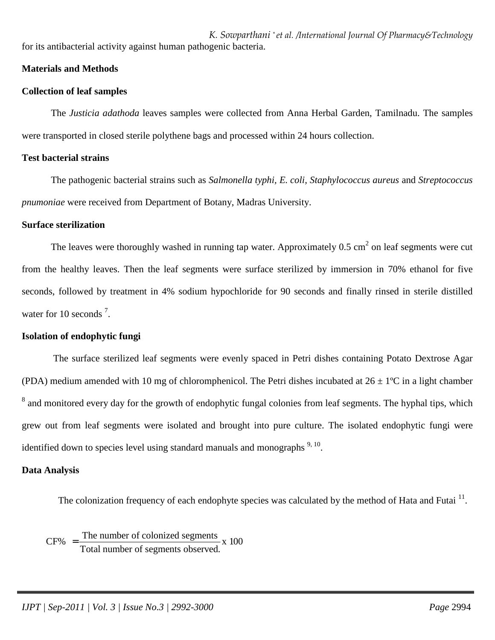*K. Sowparthani \* et al. /International Journal Of Pharmacy&Technology* for its antibacterial activity against human pathogenic bacteria.

# **Materials and Methods**

# **Collection of leaf samples**

The *Justicia adathoda* leaves samples were collected from Anna Herbal Garden, Tamilnadu. The samples were transported in closed sterile polythene bags and processed within 24 hours collection.

# **Test bacterial strains**

The pathogenic bacterial strains such as *Salmonella typhi, E. coli, Staphylococcus aureus* and *Streptococcus pnumoniae* were received from Department of Botany, Madras University.

# **Surface sterilization**

The leaves were thoroughly washed in running tap water. Approximately  $0.5 \text{ cm}^2$  on leaf segments were cut from the healthy leaves. Then the leaf segments were surface sterilized by immersion in 70% ethanol for five seconds, followed by treatment in 4% sodium hypochloride for 90 seconds and finally rinsed in sterile distilled water for 10 seconds<sup>7</sup>.

# **Isolation of endophytic fungi**

 The surface sterilized leaf segments were evenly spaced in Petri dishes containing Potato Dextrose Agar (PDA) medium amended with 10 mg of chloromphenicol. The Petri dishes incubated at  $26 \pm 1$ °C in a light chamber  $8$  and monitored every day for the growth of endophytic fungal colonies from leaf segments. The hyphal tips, which grew out from leaf segments were isolated and brought into pure culture. The isolated endophytic fungi were identified down to species level using standard manuals and monographs  $9, 10$ .

# **Data Analysis**

The colonization frequency of each endophyte species was calculated by the method of Hata and Futai  $11$ .

 $CF\% = \frac{\text{The number of colonized segments}}{\text{The number of colonized segments}} \times 100$ Total number of segments observed. =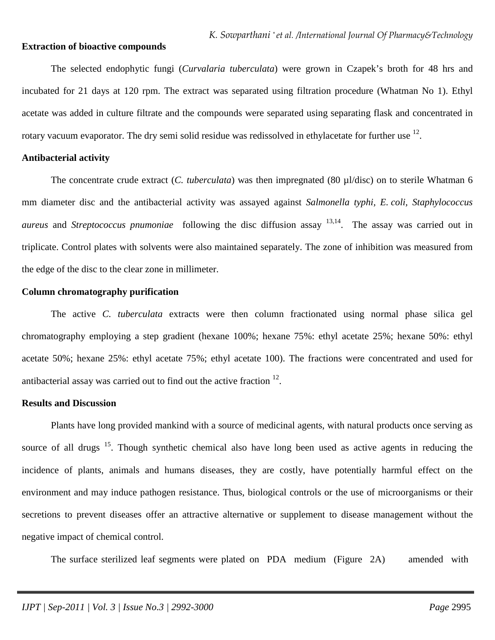#### **Extraction of bioactive compounds**

The selected endophytic fungi (*Curvalaria tuberculata*) were grown in Czapek's broth for 48 hrs and incubated for 21 days at 120 rpm. The extract was separated using filtration procedure (Whatman No 1). Ethyl acetate was added in culture filtrate and the compounds were separated using separating flask and concentrated in rotary vacuum evaporator. The dry semi solid residue was redissolved in ethylacetate for further use  $^{12}$ .

#### **Antibacterial activity**

The concentrate crude extract (*C. tuberculata*) was then impregnated (80 µl/disc) on to sterile Whatman 6 mm diameter disc and the antibacterial activity was assayed against *Salmonella typhi, E. coli, Staphylococcus aureus* and *Streptococcus pnumoniae* following the disc diffusion assay 13,14 .The assay was carried out in triplicate. Control plates with solvents were also maintained separately. The zone of inhibition was measured from the edge of the disc to the clear zone in millimeter.

#### **Column chromatography purification**

The active *C. tuberculata* extracts were then column fractionated using normal phase silica gel chromatography employing a step gradient (hexane 100%; hexane 75%: ethyl acetate 25%; hexane 50%: ethyl acetate 50%; hexane 25%: ethyl acetate 75%; ethyl acetate 100). The fractions were concentrated and used for antibacterial assay was carried out to find out the active fraction  $12$ .

#### **Results and Discussion**

 Plants have long provided mankind with a source of medicinal agents, with natural products once serving as source of all drugs <sup>15</sup>. Though synthetic chemical also have long been used as active agents in reducing the incidence of plants, animals and humans diseases, they are costly, have potentially harmful effect on the environment and may induce pathogen resistance. Thus, biological controls or the use of microorganisms or their secretions to prevent diseases offer an attractive alternative or supplement to disease management without the negative impact of chemical control.

The surface sterilized leaf segments were plated on PDA medium (Figure 2A) amended with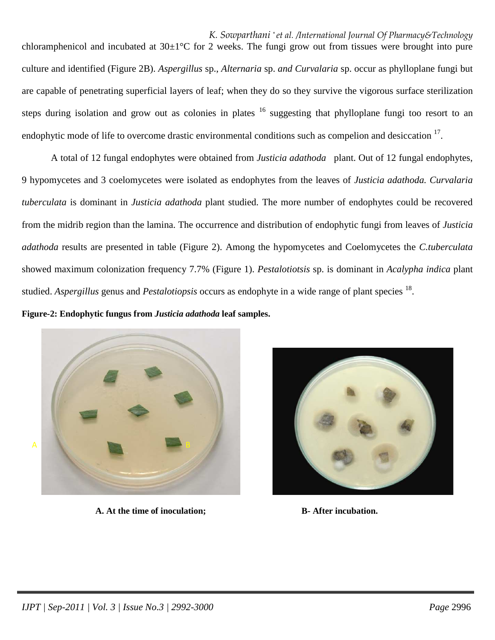*K. Sowparthani \* et al. /International Journal Of Pharmacy&Technology* chloramphenicol and incubated at  $30\pm1\degree$ C for 2 weeks. The fungi grow out from tissues were brought into pure culture and identified (Figure 2B). *Aspergillus* sp., *Alternaria* sp. *and Curvalaria* sp. occur as phylloplane fungi but are capable of penetrating superficial layers of leaf; when they do so they survive the vigorous surface sterilization steps during isolation and grow out as colonies in plates  $16$  suggesting that phylloplane fungi too resort to an endophytic mode of life to overcome drastic environmental conditions such as compelion and desiccation  $17$ .

 A total of 12 fungal endophytes were obtained from *Justicia adathoda* plant. Out of 12 fungal endophytes, 9 hypomycetes and 3 coelomycetes were isolated as endophytes from the leaves of *Justicia adathoda. Curvalaria tuberculata* is dominant in *Justicia adathoda* plant studied. The more number of endophytes could be recovered from the midrib region than the lamina. The occurrence and distribution of endophytic fungi from leaves of *Justicia adathoda* results are presented in table (Figure 2). Among the hypomycetes and Coelomycetes the *C.tuberculata*  showed maximum colonization frequency 7.7% (Figure 1). *Pestalotiotsis* sp. is dominant in *Acalypha indica* plant studied. Aspergillus genus and Pestalotiopsis occurs as endophyte in a wide range of plant species <sup>18</sup>.

**Figure-2: Endophytic fungus from** *Justicia adathoda* **leaf samples.** 



 **A. At the time of inoculation; B- After incubation.** 

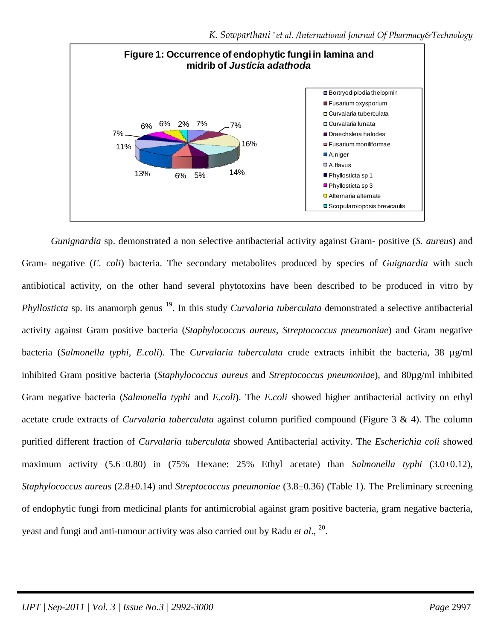

 *Gunignardia* sp. demonstrated a non selective antibacterial activity against Gram- positive (*S. aureus*) and Gram- negative (*E. coli*) bacteria. The secondary metabolites produced by species of *Guignardia* with such antibiotical activity, on the other hand several phytotoxins have been described to be produced in vitro by *Phyllosticta* sp. its anamorph genus <sup>19</sup>. In this study *Curvalaria tuberculata* demonstrated a selective antibacterial activity against Gram positive bacteria (*Staphylococcus aureus, Streptococcus pneumoniae*) and Gram negative bacteria (*Salmonella typhi, E.coli*). The *Curvalaria tuberculata* crude extracts inhibit the bacteria, 38 µg/ml inhibited Gram positive bacteria (*Staphylococcus aureus* and *Streptococcus pneumoniae*), and 80µg/ml inhibited Gram negative bacteria (*Salmonella typhi* and *E.coli*). The *E.coli* showed higher antibacterial activity on ethyl acetate crude extracts of *Curvalaria tuberculata* against column purified compound (Figure 3 & 4). The column purified different fraction of *Curvalaria tuberculata* showed Antibacterial activity. The *Escherichia coli* showed maximum activity (5.6±0.80) in (75% Hexane: 25% Ethyl acetate) than *Salmonella typhi* (3.0±0.12), *Staphylococcus aureus* (2.8±0.14) and *Streptococcus pneumoniae* (3.8±0.36) (Table 1). The Preliminary screening of endophytic fungi from medicinal plants for antimicrobial against gram positive bacteria, gram negative bacteria, yeast and fungi and anti-tumour activity was also carried out by Radu *et al*., 20 .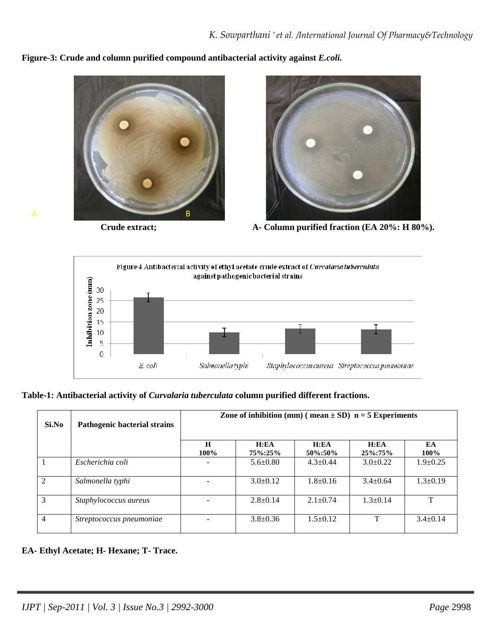**Figure-3: Crude and column purified compound antibacterial activity against** *E.coli.* 





**Crude extract; A- Column purified fraction (EA 20%: H 80%).** 



# **Table-1: Antibacterial activity of** *Curvalaria tuberculata* **column purified different fractions.**

| Si.No          | Pathogenic bacterial strains | Zone of inhibition (mm) (mean $\pm$ SD) n = 5 Experiments |                 |                   |                     |                |
|----------------|------------------------------|-----------------------------------------------------------|-----------------|-------------------|---------------------|----------------|
|                |                              | H<br>100%                                                 | H:EA<br>75%:25% | H:EA<br>50\%:50\% | H:EA<br>$25\%:75\%$ | EA<br>100%     |
|                | Escherichia coli             |                                                           | $5.6 \pm 0.80$  | $4.3 + 0.44$      | $3.0+0.22$          | $1.9 \pm 0.25$ |
| $\mathfrak{D}$ | Salmonella typhi             |                                                           | $3.0+0.12$      | $1.8 \pm 0.16$    | $3.4 + 0.64$        | $1.3 \pm 0.19$ |
| 3              | Staphylococcus aureus        |                                                           | $2.8+0.14$      | $2.1 \pm 0.74$    | $1.3+0.14$          | Т              |
| 4              | Streptococcus pneumoniae     |                                                           | $3.8 \pm 0.36$  | $1.5 \pm 0.12$    | T                   | $3.4 \pm 0.14$ |

# **EA- Ethyl Acetate; H- Hexane; T- Trace.**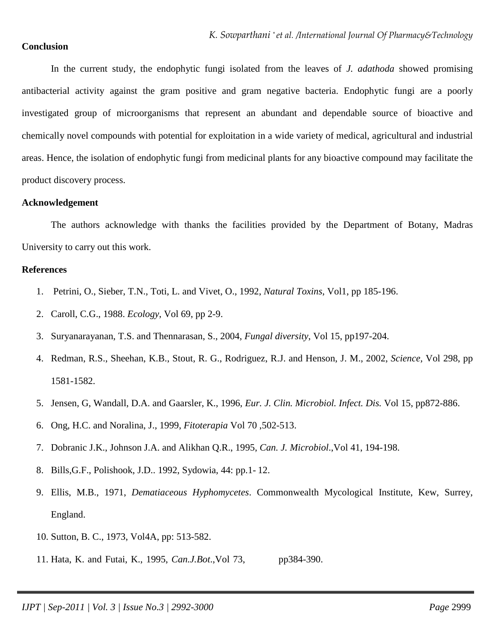# **Conclusion**

 In the current study, the endophytic fungi isolated from the leaves of *J. adathoda* showed promising antibacterial activity against the gram positive and gram negative bacteria. Endophytic fungi are a poorly investigated group of microorganisms that represent an abundant and dependable source of bioactive and chemically novel compounds with potential for exploitation in a wide variety of medical, agricultural and industrial areas. Hence, the isolation of endophytic fungi from medicinal plants for any bioactive compound may facilitate the product discovery process.

#### **Acknowledgement**

 The authors acknowledge with thanks the facilities provided by the Department of Botany, Madras University to carry out this work.

#### **References**

- 1. Petrini, O., Sieber, T.N., Toti, L. and Vivet, O., 1992, *Natural Toxins*, Vol1, pp 185-196.
- 2. Caroll, C.G., 1988. *Ecology*, Vol 69, pp 2-9.
- 3. Suryanarayanan, T.S. and Thennarasan, S., 2004, *Fungal diversity*, Vol 15, pp197-204.
- 4. Redman, R.S., Sheehan, K.B., Stout, R. G., Rodriguez, R.J. and Henson, J. M., 2002, *Science,* Vol 298, pp 1581-1582.
- 5. Jensen, G, Wandall, D.A. and Gaarsler, K., 1996, *Eur. J. Clin. Microbiol. Infect. Dis.* Vol 15, pp872-886.
- 6. Ong, H.C. and Noralina, J., 1999, *Fitoterapia* Vol 70 ,502-513.
- 7. Dobranic J.K., Johnson J.A. and Alikhan Q.R., 1995, *Can. J. Microbiol*.,Vol 41, 194-198.
- 8. Bills,G.F., Polishook, J.D.. 1992, Sydowia, 44: pp.1- 12.
- 9. Ellis, M.B., 1971, *Dematiaceous Hyphomycetes*. Commonwealth Mycological Institute, Kew, Surrey, England.
- 10. Sutton, B. C., 1973, Vol4A, pp: 513-582.
- 11. Hata, K. and Futai, K., 1995, *Can.J.Bot*.,Vol 73, pp384-390.